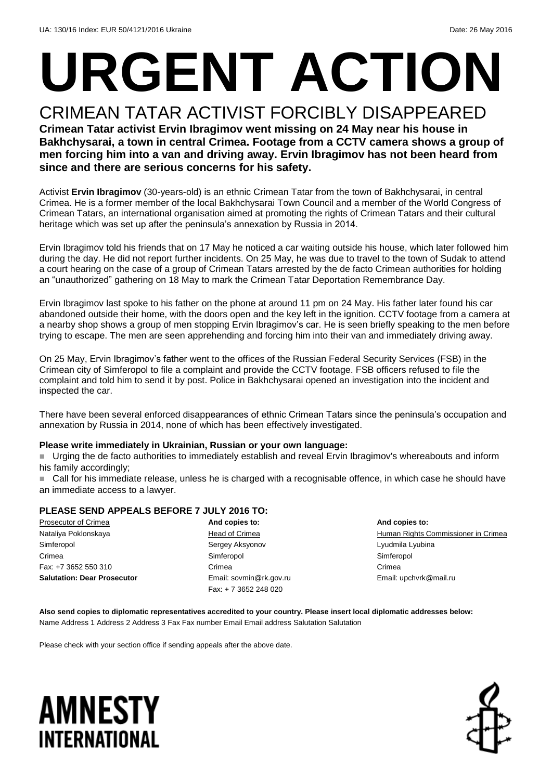# **URGENT ACTION** CRIMEAN TATAR ACTIVIST FORCIBLY DISAPPEARED

#### **Crimean Tatar activist Ervin Ibragimov went missing on 24 May near his house in Bakhchysarai, a town in central Crimea. Footage from a CCTV camera shows a group of men forcing him into a van and driving away. Ervin Ibragimov has not been heard from since and there are serious concerns for his safety.**

Activist **Ervin Ibragimov** (30-years-old) is an ethnic Crimean Tatar from the town of Bakhchysarai, in central Crimea. He is a former member of the local Bakhchysarai Town Council and a member of the World Congress of Crimean Tatars, an international organisation aimed at promoting the rights of Crimean Tatars and their cultural heritage which was set up after the peninsula's annexation by Russia in 2014.

Ervin Ibragimov told his friends that on 17 May he noticed a car waiting outside his house, which later followed him during the day. He did not report further incidents. On 25 May, he was due to travel to the town of Sudak to attend a court hearing on the case of a group of Crimean Tatars arrested by the de facto Crimean authorities for holding an "unauthorized" gathering on 18 May to mark the Crimean Tatar Deportation Remembrance Day.

Ervin Ibragimov last spoke to his father on the phone at around 11 pm on 24 May. His father later found his car abandoned outside their home, with the doors open and the key left in the ignition. CCTV footage from a camera at a nearby shop shows a group of men stopping Ervin Ibragimov's car. He is seen briefly speaking to the men before trying to escape. The men are seen apprehending and forcing him into their van and immediately driving away.

On 25 May, Ervin Ibragimov's father went to the offices of the Russian Federal Security Services (FSB) in the Crimean city of Simferopol to file a complaint and provide the CCTV footage. FSB officers refused to file the complaint and told him to send it by post. Police in Bakhchysarai opened an investigation into the incident and inspected the car.

There have been several enforced disappearances of ethnic Crimean Tatars since the peninsula's occupation and annexation by Russia in 2014, none of which has been effectively investigated.

#### **Please write immediately in Ukrainian, Russian or your own language:**

 Urging the de facto authorities to immediately establish and reveal Ervin Ibragimov's whereabouts and inform his family accordingly;

■ Call for his immediate release, unless he is charged with a recognisable offence, in which case he should have an immediate access to a lawyer.

#### **PLEASE SEND APPEALS BEFORE 7 JULY 2016 TO:**

Prosecutor of Crimea Nataliya Poklonskaya Simferopol Crimea Fax: +7 3652 550 310 **Salutation: Dear Prosecutor**

**And copies to:** Head of Crimea Sergey Aksyonov Simferopol Crimea Email: sovmin@rk.gov.ru Fax: + 7 3652 248 020

**And copies to:** Human Rights Commissioner in Crimea Lyudmila Lyubina Simferopol Crimea Email: upchvrk@mail.ru

**Also send copies to diplomatic representatives accredited to your country. Please insert local diplomatic addresses below:** Name Address 1 Address 2 Address 3 Fax Fax number Email Email address Salutation Salutation

Please check with your section office if sending appeals after the above date.